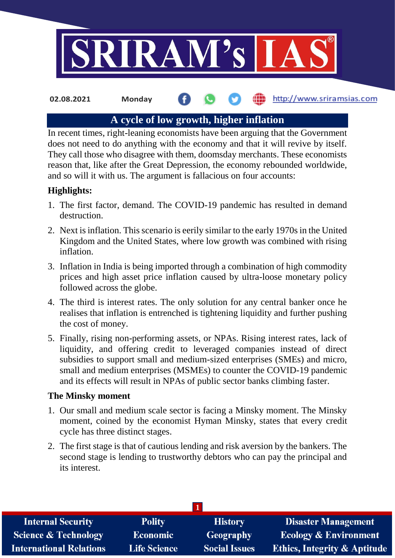

### http://www.sriramsias.com **02.08.2021 Monday**

# **A cycle of low growth, higher inflation**

In recent times, right-leaning economists have been arguing that the Government does not need to do anything with the economy and that it will revive by itself. They call those who disagree with them, doomsday merchants. These economists reason that, like after the Great Depression, the economy rebounded worldwide, and so will it with us. The argument is fallacious on four accounts:

# **Highlights:**

- 1. The first factor, demand. The COVID-19 pandemic has resulted in demand destruction.
- 2. Next is inflation. This scenario is eerily similar to the early 1970s in the United Kingdom and the United States, where low growth was combined with rising inflation.
- 3. Inflation in India is being imported through a combination of high commodity prices and high asset price inflation caused by ultra-loose monetary policy followed across the globe.
- 4. The third is interest rates. The only solution for any central banker once he realises that inflation is entrenched is tightening liquidity and further pushing the cost of money.
- 5. Finally, rising non-performing assets, or NPAs. Rising interest rates, lack of liquidity, and offering credit to leveraged companies instead of direct subsidies to support small and medium-sized enterprises (SMEs) and micro, small and medium enterprises (MSMEs) to counter the COVID-19 pandemic and its effects will result in NPAs of public sector banks climbing faster.

## **The Minsky moment**

- 1. Our small and medium scale sector is facing a Minsky moment. The Minsky moment, coined by the economist Hyman Minsky, states that every credit cycle has three distinct stages.
- 2. The first stage is that of cautious lending and risk aversion by the bankers. The second stage is lending to trustworthy debtors who can pay the principal and its interest.

| <b>Internal Security</b>        | <b>Polity</b>       | <b>History</b>       | <b>Disaster Management</b>              |  |  |
|---------------------------------|---------------------|----------------------|-----------------------------------------|--|--|
| <b>Science &amp; Technology</b> | Economic            | <b>Geography</b>     | <b>Ecology &amp; Environment</b>        |  |  |
| <b>International Relations</b>  | <b>Life Science</b> | <b>Social Issues</b> | <b>Ethics, Integrity &amp; Aptitude</b> |  |  |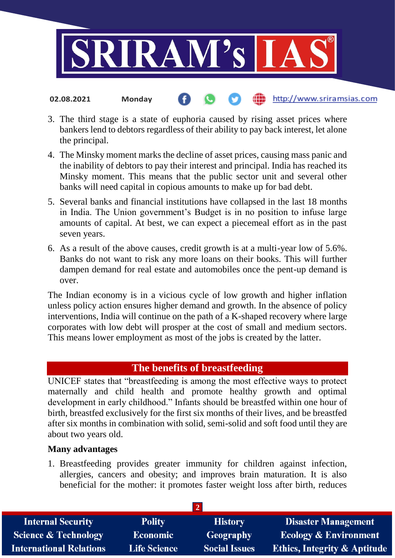

3. The third stage is a state of euphoria caused by rising asset prices where bankers lend to debtors regardless of their ability to pay back interest, let alone the principal.

http://www.sriramsias.com

- 4. The Minsky moment marks the decline of asset prices, causing mass panic and the inability of debtors to pay their interest and principal. India has reached its Minsky moment. This means that the public sector unit and several other banks will need capital in copious amounts to make up for bad debt.
- 5. Several banks and financial institutions have collapsed in the last 18 months in India. The Union government's Budget is in no position to infuse large amounts of capital. At best, we can expect a piecemeal effort as in the past seven years.
- 6. As a result of the above causes, credit growth is at a multi-year low of 5.6%. Banks do not want to risk any more loans on their books. This will further dampen demand for real estate and automobiles once the pent-up demand is over.

The Indian economy is in a vicious cycle of low growth and higher inflation unless policy action ensures higher demand and growth. In the absence of policy interventions, India will continue on the path of a K-shaped recovery where large corporates with low debt will prosper at the cost of small and medium sectors. This means lower employment as most of the jobs is created by the latter.

# **The benefits of breastfeeding**

UNICEF states that "breastfeeding is among the most effective ways to protect maternally and child health and promote healthy growth and optimal development in early childhood." Infants should be breastfed within one hour of birth, breastfed exclusively for the first six months of their lives, and be breastfed after six months in combination with solid, semi-solid and soft food until they are about two years old.

# **Many advantages**

**02.08.2021 Monday**

1. Breastfeeding provides greater immunity for children against infection, allergies, cancers and obesity; and improves brain maturation. It is also beneficial for the mother: it promotes faster weight loss after birth, reduces

| <b>Internal Security</b>        | <b>Polity</b>       | <b>History</b>       | <b>Disaster Management</b>              |  |  |
|---------------------------------|---------------------|----------------------|-----------------------------------------|--|--|
| <b>Science &amp; Technology</b> | <b>Economic</b>     | <b>Geography</b>     | <b>Ecology &amp; Environment</b>        |  |  |
| <b>International Relations</b>  | <b>Life Science</b> | <b>Social Issues</b> | <b>Ethics, Integrity &amp; Aptitude</b> |  |  |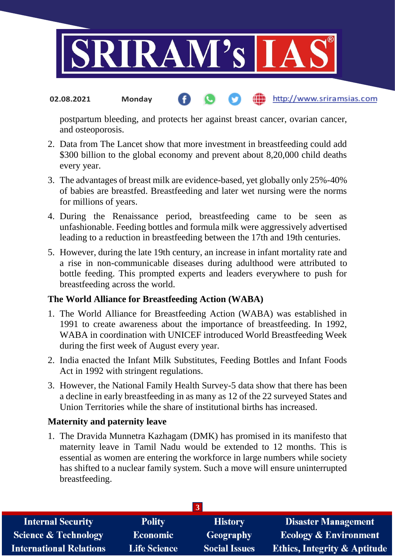

#### http://www.sriramsias.com **02.08.2021 Monday**

postpartum bleeding, and protects her against breast cancer, ovarian cancer, and osteoporosis.

- 2. Data from The Lancet show that more investment in breastfeeding could add \$300 billion to the global economy and prevent about 8,20,000 child deaths every year.
- 3. The advantages of breast milk are evidence-based, yet globally only 25%-40% of babies are breastfed. Breastfeeding and later wet nursing were the norms for millions of years.
- 4. During the Renaissance period, breastfeeding came to be seen as unfashionable. Feeding bottles and formula milk were aggressively advertised leading to a reduction in breastfeeding between the 17th and 19th centuries.
- 5. However, during the late 19th century, an increase in infant mortality rate and a rise in non-communicable diseases during adulthood were attributed to bottle feeding. This prompted experts and leaders everywhere to push for breastfeeding across the world.

## **The World Alliance for Breastfeeding Action (WABA)**

- 1. The World Alliance for Breastfeeding Action (WABA) was established in 1991 to create awareness about the importance of breastfeeding. In 1992, WABA in coordination with UNICEF introduced World Breastfeeding Week during the first week of August every year.
- 2. India enacted the Infant Milk Substitutes, Feeding Bottles and Infant Foods Act in 1992 with stringent regulations.
- 3. However, the National Family Health Survey-5 data show that there has been a decline in early breastfeeding in as many as 12 of the 22 surveyed States and Union Territories while the share of institutional births has increased.

## **Maternity and paternity leave**

1. The Dravida Munnetra Kazhagam (DMK) has promised in its manifesto that maternity leave in Tamil Nadu would be extended to 12 months. This is essential as women are entering the workforce in large numbers while society has shifted to a nuclear family system. Such a move will ensure uninterrupted breastfeeding.

| <b>Internal Security</b>        | <b>Polity</b>       | <b>History</b>       | <b>Disaster Management</b>              |  |  |
|---------------------------------|---------------------|----------------------|-----------------------------------------|--|--|
| <b>Science &amp; Technology</b> | <b>Economic</b>     | Geography            | <b>Ecology &amp; Environment</b>        |  |  |
| <b>International Relations</b>  | <b>Life Science</b> | <b>Social Issues</b> | <b>Ethics, Integrity &amp; Aptitude</b> |  |  |